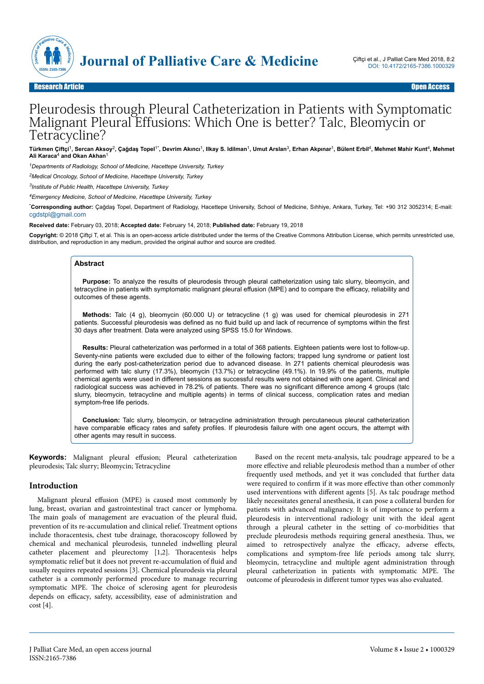

Research Article Open Access

# Pleurodesis through Pleural Catheterization in Patients with Symptomatic Malignant Pleural Effusions: Which One is better? Talc, Bleomycin or Tetracycline?

Türkmen Çiftçi<sup>1</sup>, Sercan Aksoy<sup>2</sup>, Çağdaş Topel<sup>1\*</sup>, Devrim Akıncı<sup>1</sup>, Ilkay S. Idilman<sup>1</sup>, Umut Arslan<sup>3</sup>, Erhan Akpınar<sup>1</sup>, Bülent Erbil<sup>4</sup>, Mehmet Mahir Kunt<sup>4</sup>, Mehmet **Ali Karaca**<sup>4</sup>  **and Okan Akhan**<sup>1</sup>

*<sup>1</sup>Departments of Radiology, School of Medicine, Hacettepe University, Turkey*

*<sup>2</sup>Medical Oncology, School of Medicine, Hacettepe University, Turkey*

*3 Institute of Public Health, Hacettepe University, Turkey*

*<sup>4</sup>Emergency Medicine, School of Medicine, Hacettepe University, Turkey*

\***Corresponding author:** Çağdaş Topel, Department of Radiology, Hacettepe University, School of Medicine, Sıhhiye, Ankara, Turkey, Tel: +90 312 3052314; E-mail: [cgdstpl@gmail.com](mailto:cgdstpl@gmail.com)

**Received date:** February 03, 2018; **Accepted date:** February 14, 2018; **Published date:** February 19, 2018

Copyright: © 2018 Ciftci T, et al. This is an open-access article distributed under the terms of the Creative Commons Attribution License, which permits unrestricted use, distribution, and reproduction in any medium, provided the original author and source are credited.

#### **Abstract**

**Purpose:** To analyze the results of pleurodesis through pleural catheterization using talc slurry, bleomycin, and tetracycline in patients with symptomatic malignant pleural effusion (MPE) and to compare the efficacy, reliability and outcomes of these agents.

**Methods:** Talc (4 g), bleomycin (60.000 U) or tetracycline (1 g) was used for chemical pleurodesis in 271 patients. Successful pleurodesis was defined as no fluid build up and lack of recurrence of symptoms within the first 30 days after treatment. Data were analyzed using SPSS 15.0 for Windows.

**Results:** Pleural catheterization was performed in a total of 368 patients. Eighteen patients were lost to follow-up. Seventy-nine patients were excluded due to either of the following factors; trapped lung syndrome or patient lost during the early post-catheterization period due to advanced disease. In 271 patients chemical pleurodesis was performed with talc slurry (17.3%), bleomycin (13.7%) or tetracycline (49.1%). In 19.9% of the patients, multiple chemical agents were used in different sessions as successful results were not obtained with one agent. Clinical and radiological success was achieved in 78.2% of patients. There was no significant difference among 4 groups (talc slurry, bleomycin, tetracycline and multiple agents) in terms of clinical success, complication rates and median symptom-free life periods.

**Conclusion:** Talc slurry, bleomycin, or tetracycline administration through percutaneous pleural catheterization have comparable efficacy rates and safety profiles. If pleurodesis failure with one agent occurs, the attempt with other agents may result in success.

Keywords: Malignant pleural effusion; Pleural catheterization pleurodesis; Talc slurry; Bleomycin; Tetracycline

# **Introduction**

Malignant pleural effusion (MPE) is caused most commonly by lung, breast, ovarian and gastrointestinal tract cancer or lymphoma. The main goals of management are evacuation of the pleural fluid, prevention of its re-accumulation and clinical relief. Treatment options include thoracentesis, chest tube drainage, thoracoscopy followed by chemical and mechanical pleurodesis, tunneled indwelling pleural catheter placement and pleurectomy [1,2]. Thoracentesis helps symptomatic relief but it does not prevent re-accumulation of fluid and usually requires repeated sessions [3]. Chemical pleurodesis via pleural catheter is a commonly performed procedure to manage recurring symptomatic MPE. Нe choice of sclerosing agent for pleurodesis depends on efficacy, safety, accessibility, ease of administration and cost [4].

Based on the recent meta-analysis, talc poudrage appeared to be a more effective and reliable pleurodesis method than a number of other frequently used methods, and yet it was concluded that further data were required to confirm if it was more effective than other commonly used interventions with different agents [5]. As talc poudrage method likely necessitates general anesthesia, it can pose a collateral burden for patients with advanced malignancy. It is of importance to perform a pleurodesis in interventional radiology unit with the ideal agent through a pleural catheter in the setting of co-morbidities that preclude pleurodesis methods requiring general anesthesia. Нus, we aimed to retrospectively analyze the efficacy, adverse effects, complications and symptom-free life periods among talc slurry, bleomycin, tetracycline and multiple agent administration through pleural catheterization in patients with symptomatic MPE. Нe outcome of pleurodesis in different tumor types was also evaluated.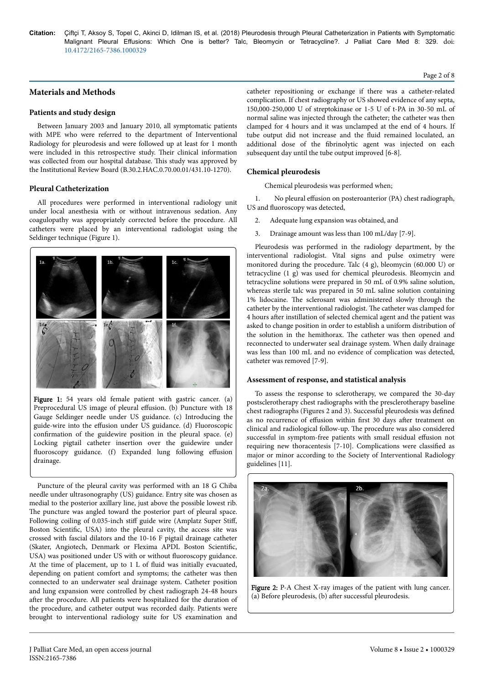# **Materials and Methods**

# **Patients and study design**

Between January 2003 and January 2010, all symptomatic patients with MPE who were referred to the department of Interventional Radiology for pleurodesis and were followed up at least for 1 month were included in this retrospective study. Their clinical information was collected from our hospital database. This study was approved by the Institutional Review Board (B.30.2.HAC.0.70.00.01/431.10-1270).

### **Pleural Catheterization**

All procedures were performed in interventional radiology unit under local anesthesia with or without intravenous sedation. Any coagulopathy was appropriately corrected before the procedure. All catheters were placed by an interventional radiologist using the Seldinger technique (Figure 1).



Figure 1: 54 years old female patient with gastric cancer. (a) Preprocedural US image of pleural effusion. (b) Puncture with 18 Gauge Seldinger needle under US guidance. (c) Introducing the guide-wire into the effusion under US guidance. (d) Fluoroscopic confirmation of the guidewire position in the pleural space.  $(e)$ Locking pigtail catheter insertion over the guidewire under fluoroscopy guidance. (f) Expanded lung following effusion drainage.

Puncture of the pleural cavity was performed with an 18 G Chiba needle under ultrasonography (US) guidance. Entry site was chosen as medial to the posterior axillary line, just above the possible lowest rib. The puncture was angled toward the posterior part of pleural space. Following coiling of 0.035-inch stiff guide wire (Amplatz Super Stiff, Boston Scientific, USA) into the pleural cavity, the access site was crossed with fascial dilators and the 10-16 F pigtail drainage catheter (Skater, Angiotech, Denmark or Flexima APDL Boston Scientific, USA) was positioned under US with or without fluoroscopy guidance. At the time of placement, up to 1 L of fluid was initially evacuated, depending on patient comfort and symptoms; the catheter was then connected to an underwater seal drainage system. Catheter position and lung expansion were controlled by chest radiograph 24-48 hours after the procedure. All patients were hospitalized for the duration of the procedure, and catheter output was recorded daily. Patients were brought to interventional radiology suite for US examination and

catheter repositioning or exchange if there was a catheter-related complication. If chest radiography or US showed evidence of any septa, 150,000-250,000 U of streptokinase or 1-5 U of t-PA in 30-50 mL of normal saline was injected through the catheter; the catheter was then clamped for 4 hours and it was unclamped at the end of 4 hours. If tube output did not increase and the fluid remained loculated, an additional dose of the fibrinolytic agent was injected on each subsequent day until the tube output improved [6-8].

#### **Chemical pleurodesis**

Chemical pleurodesis was performed when;

1. No pleural effusion on posteroanterior (PA) chest radiograph, US and fluoroscopy was detected,

- 2. Adequate lung expansion was obtained, and
- 3. Drainage amount was less than 100 mL/day [7-9].

Pleurodesis was performed in the radiology department, by the interventional radiologist. Vital signs and pulse oximetry were monitored during the procedure. Talc (4 g), bleomycin (60.000 U) or tetracycline (1 g) was used for chemical pleurodesis. Bleomycin and tetracycline solutions were prepared in 50 mL of 0.9% saline solution, whereas sterile talc was prepared in 50 mL saline solution containing 1% lidocaine. Нe sclerosant was administered slowly through the catheter by the interventional radiologist. Нe catheter was clamped for 4 hours after instillation of selected chemical agent and the patient was asked to change position in order to establish a uniform distribution of the solution in the hemithorax. Нe catheter was then opened and reconnected to underwater seal drainage system. When daily drainage was less than 100 mL and no evidence of complication was detected, catheter was removed [7-9].

# **Assessment of response, and statistical analysis**

To assess the response to sclerotherapy, we compared the 30-day postsclerotherapy chest radiographs with the presclerotherapy baseline chest radiographs (Figures 2 and 3). Successful pleurodesis was defined as no recurrence of effusion within first 30 days after treatment on clinical and radiological follow-up. Нe procedure was also considered successful in symptom-free patients with small residual effusion not requiring new thoracentesis [7-10]. Complications were classified as major or minor according to the Society of Interventional Radiology guidelines [11].



Figure 2: P-A Chest X-ray images of the patient with lung cancer. (a) Before pleurodesis, (b) after successful pleurodesis.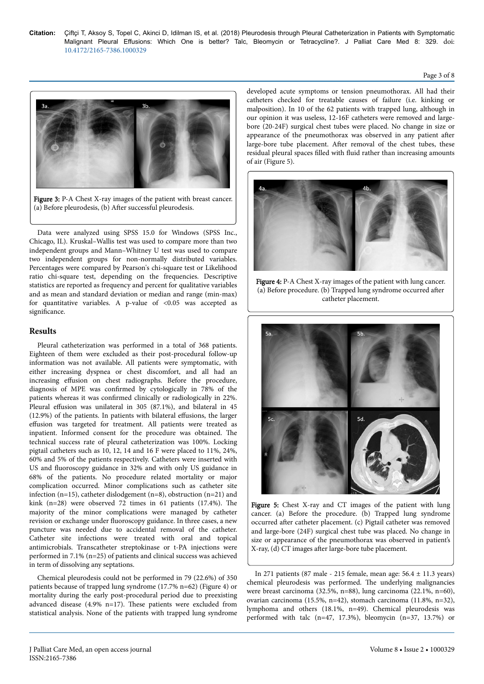#### Page 3 of 8



Figure 3: P-A Chest X-ray images of the patient with breast cancer. (a) Before pleurodesis, (b) After successful pleurodesis.

Data were analyzed using SPSS 15.0 for Windows (SPSS Inc., Chicago, IL). Kruskal–Wallis test was used to compare more than two independent groups and Mann–Whitney U test was used to compare two independent groups for non-normally distributed variables. Percentages were compared by Pearson's chi-square test or Likelihood ratio chi-square test, depending on the frequencies. Descriptive statistics are reported as frequency and percent for qualitative variables and as mean and standard deviation or median and range (min-max) for quantitative variables. A p-value of  $< 0.05$  was accepted as significance.

# **Results**

Pleural catheterization was performed in a total of 368 patients. Eighteen of them were excluded as their post-procedural follow-up information was not available. All patients were symptomatic, with either increasing dyspnea or chest discomfort, and all had an increasing effusion on chest radiographs. Before the procedure, diagnosis of MPE was confirmed by cytologically in 78% of the patients whereas it was confirmed clinically or radiologically in 22%. Pleural effusion was unilateral in 305 (87.1%), and bilateral in 45  $(12.9\%)$  of the patients. In patients with bilateral effusions, the larger effusion was targeted for treatment. All patients were treated as inpatient. Informed consent for the procedure was obtained. Нe technical success rate of pleural catheterization was 100%. Locking pigtail catheters such as 10, 12, 14 and 16 F were placed to 11%, 24%, 60% and 5% of the patients respectively. Catheters were inserted with US and fluoroscopy guidance in 32% and with only US guidance in 68% of the patients. No procedure related mortality or major complication occurred. Minor complications such as catheter site infection (n=15), catheter dislodgement (n=8), obstruction (n=21) and kink (n=28) were observed 72 times in 61 patients (17.4%). Нe majority of the minor complications were managed by catheter revision or exchange under fluoroscopy guidance. In three cases, a new puncture was needed due to accidental removal of the catheter. Catheter site infections were treated with oral and topical antimicrobials. Transcatheter streptokinase or t-PA injections were performed in 7.1% (n=25) of patients and clinical success was achieved in term of dissolving any septations.

Chemical pleurodesis could not be performed in 79 (22.6%) of 350 patients because of trapped lung syndrome (17.7% n=62) (Figure 4) or mortality during the early post-procedural period due to preexisting advanced disease (4.9% n=17). Нese patients were excluded from statistical analysis. None of the patients with trapped lung syndrome

developed acute symptoms or tension pneumothorax. All had their catheters checked for treatable causes of failure (i.e. kinking or malposition). In 10 of the 62 patients with trapped lung, although in our opinion it was useless, 12-16F catheters were removed and largebore (20-24F) surgical chest tubes were placed. No change in size or appearance of the pneumothorax was observed in any patient after large-bore tube placement. After removal of the chest tubes, these residual pleural spaces filled with fluid rather than increasing amounts of air (Figure 5).







Figure 5: Chest X-ray and CT images of the patient with lung cancer. (a) Before the procedure. (b) Trapped lung syndrome occurred after catheter placement. (c) Pigtail catheter was removed and large-bore (24F) surgical chest tube was placed. No change in size or appearance of the pneumothorax was observed in patient's X-ray, (d) CT images after large-bore tube placement.

In 271 patients (87 male - 215 female, mean age:  $56.4 \pm 11.3$  years) chemical pleurodesis was performed. Нe underlying malignancies were breast carcinoma (32.5%, n=88), lung carcinoma (22.1%, n=60), ovarian carcinoma (15.5%, n=42), stomach carcinoma (11.8%, n=32), lymphoma and others (18.1%, n=49). Chemical pleurodesis was performed with talc (n=47, 17.3%), bleomycin (n=37, 13.7%) or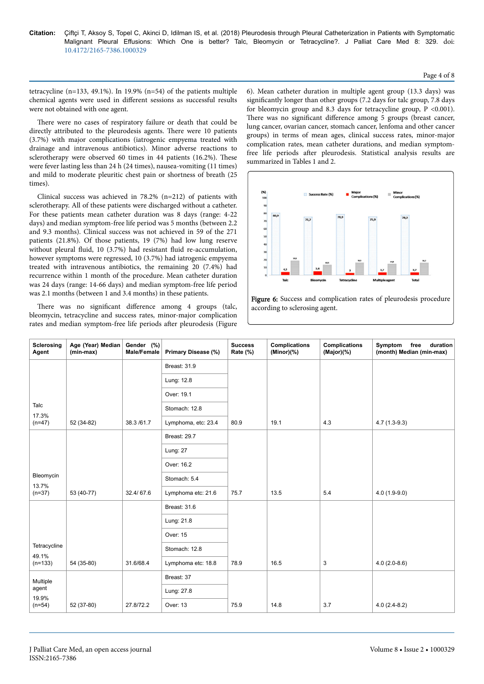#### Page 4 of 8

tetracycline (n=133, 49.1%). In 19.9% (n=54) of the patients multiple chemical agents were used in different sessions as successful results were not obtained with one agent.

There were no cases of respiratory failure or death that could be directly attributed to the pleurodesis agents. Нere were 10 patients (3.7%) with major complications (iatrogenic empyema treated with drainage and intravenous antibiotics). Minor adverse reactions to sclerotherapy were observed 60 times in 44 patients (16.2%). Нese were fever lasting less than 24 h (24 times), nausea-vomiting (11 times) and mild to moderate pleuritic chest pain or shortness of breath (25 times).

Clinical success was achieved in 78.2% (n=212) of patients with sclerotherapy. All of these patients were discharged without a catheter. For these patients mean catheter duration was 8 days (range: 4-22 days) and median symptom-free life period was 5 months (between 2.2 and 9.3 months). Clinical success was not achieved in 59 of the 271 patients (21.8%). Of those patients, 19 (7%) had low lung reserve without pleural fluid, 10 (3.7%) had resistant fluid re-accumulation, however symptoms were regressed, 10 (3.7%) had iatrogenic empyema treated with intravenous antibiotics, the remaining 20 (7.4%) had recurrence within 1 month of the procedure. Mean catheter duration was 24 days (range: 14-66 days) and median symptom-free life period was 2.1 months (between 1 and 3.4 months) in these patients.

There was no significant difference among 4 groups (talc, bleomycin, tetracycline and success rates, minor-major complication rates and median symptom-free life periods after pleurodesis (Figure

6). Mean catheter duration in multiple agent group (13.3 days) was significantly longer than other groups (7.2 days for talc group, 7.8 days for bleomycin group and 8.3 days for tetracycline group,  $P < 0.001$ ). There was no significant difference among 5 groups (breast cancer, lung cancer, ovarian cancer, stomach cancer, lenfoma and other cancer groups) in terms of mean ages, clinical success rates, minor-major complication rates, mean catheter durations, and median symptomfree life periods after pleurodesis. Statistical analysis results are summarized in Tables 1 and 2.





| Sclerosing<br>Agent   | Age (Year) Median<br>(min-max) | Gender (%)<br><b>Male/Female</b> | Primary Disease (%) | <b>Success</b><br>Rate (%) | <b>Complications</b><br>$(Minor)(\%)$ | <b>Complications</b><br>$(Major)(\%)$ | Symptom<br>duration<br>free<br>(month) Median (min-max) |
|-----------------------|--------------------------------|----------------------------------|---------------------|----------------------------|---------------------------------------|---------------------------------------|---------------------------------------------------------|
|                       |                                |                                  | <b>Breast: 31.9</b> |                            |                                       |                                       |                                                         |
|                       |                                |                                  | Lung: 12.8          |                            |                                       |                                       |                                                         |
|                       |                                |                                  | Over: 19.1          |                            |                                       |                                       |                                                         |
| Talc                  |                                |                                  | Stomach: 12.8       |                            |                                       |                                       |                                                         |
| 17.3%<br>$(n=47)$     | 52 (34-82)                     | 38.3/61.7                        | Lymphoma, etc: 23.4 | 80.9                       | 19.1                                  | 4.3                                   | $4.7(1.3-9.3)$                                          |
|                       |                                |                                  | <b>Breast: 29.7</b> |                            |                                       |                                       |                                                         |
|                       |                                |                                  | <b>Lung: 27</b>     |                            |                                       |                                       |                                                         |
|                       |                                |                                  | Over: 16.2          |                            |                                       |                                       |                                                         |
| Bleomycin<br>13.7%    |                                |                                  | Stomach: 5.4        |                            |                                       |                                       |                                                         |
| $(n=37)$              | 53 (40-77)                     | 32.4/67.6                        | Lymphoma etc: 21.6  | 75.7                       | 13.5                                  | 5.4                                   | $4.0(1.9-9.0)$                                          |
|                       |                                |                                  | <b>Breast: 31.6</b> |                            |                                       |                                       |                                                         |
|                       |                                |                                  | Lung: 21.8          |                            |                                       |                                       |                                                         |
|                       |                                |                                  | Over: 15            |                            |                                       |                                       |                                                         |
| Tetracycline<br>49.1% |                                |                                  | Stomach: 12.8       |                            |                                       |                                       |                                                         |
| $(n=133)$             | 54 (35-80)                     | 31.6/68.4                        | Lymphoma etc: 18.8  | 78.9                       | 16.5                                  | 3                                     | $4.0(2.0-8.6)$                                          |
| Multiple              |                                |                                  | Breast: 37          |                            |                                       |                                       |                                                         |
| agent<br>19.9%        |                                |                                  | Lung: 27.8          |                            |                                       |                                       |                                                         |
| $(n=54)$              | 52 (37-80)                     | 27.8/72.2                        | Over: 13            | 75.9                       | 14.8                                  | 3.7                                   | $4.0(2.4-8.2)$                                          |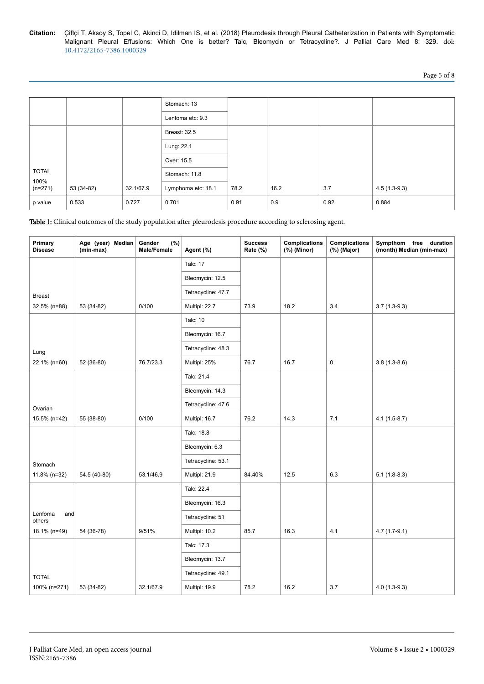Page 5 of 8

|                      |            |           | Stomach: 13        |      |      |      |                |
|----------------------|------------|-----------|--------------------|------|------|------|----------------|
|                      |            |           | Lenfoma etc: 9.3   |      |      |      |                |
|                      |            |           | Breast: 32.5       |      |      |      |                |
|                      |            |           | Lung: 22.1         |      |      |      |                |
|                      |            |           | Over: 15.5         |      |      |      |                |
| <b>TOTAL</b><br>100% |            |           | Stomach: 11.8      |      |      |      |                |
| $(n=271)$            | 53 (34-82) | 32.1/67.9 | Lymphoma etc: 18.1 | 78.2 | 16.2 | 3.7  | $4.5(1.3-9.3)$ |
| p value              | 0.533      | 0.727     | 0.701              | 0.91 | 0.9  | 0.92 | 0.884          |

Table 1: Clinical outcomes of the study population after pleurodesis procedure according to sclerosing agent.

| Primary<br><b>Disease</b> | Age (year) Median<br>(min-max) | (%)<br>Gender<br><b>Male/Female</b> | Agent (%)          | <b>Success</b><br>Rate (%) | <b>Complications</b><br>(%) (Minor) | <b>Complications</b><br>(%) (Major) | Sympthom free duration<br>(month) Median (min-max) |
|---------------------------|--------------------------------|-------------------------------------|--------------------|----------------------------|-------------------------------------|-------------------------------------|----------------------------------------------------|
|                           |                                |                                     | <b>Talc: 17</b>    |                            |                                     |                                     |                                                    |
|                           |                                |                                     | Bleomycin: 12.5    |                            |                                     |                                     |                                                    |
| <b>Breast</b>             |                                |                                     | Tetracycline: 47.7 |                            |                                     |                                     |                                                    |
| 32.5% (n=88)              | 53 (34-82)                     | 0/100                               | Multipl: 22.7      | 73.9                       | 18.2                                | 3.4                                 | $3.7(1.3-9.3)$                                     |
|                           |                                |                                     | Talc: 10           |                            |                                     |                                     |                                                    |
|                           |                                |                                     | Bleomycin: 16.7    |                            |                                     |                                     |                                                    |
| Lung                      |                                |                                     | Tetracycline: 48.3 |                            |                                     |                                     |                                                    |
| 22.1% (n=60)              | 52 (36-80)                     | 76.7/23.3                           | Multipl: 25%       | 76.7                       | 16.7                                | 0                                   | $3.8(1.3-8.6)$                                     |
|                           |                                |                                     | Talc: 21.4         |                            |                                     |                                     |                                                    |
|                           |                                |                                     | Bleomycin: 14.3    |                            |                                     |                                     |                                                    |
| Ovarian                   |                                |                                     | Tetracycline: 47.6 |                            |                                     |                                     |                                                    |
| 15.5% (n=42)              | 55 (38-80)                     | 0/100                               | Multipl: 16.7      | 76.2                       | 14.3                                | 7.1                                 | $4.1(1.5-8.7)$                                     |
|                           |                                |                                     | Talc: 18.8         |                            |                                     |                                     |                                                    |
|                           |                                |                                     | Bleomycin: 6.3     |                            |                                     |                                     |                                                    |
| Stomach                   |                                |                                     | Tetracycline: 53.1 |                            |                                     |                                     |                                                    |
| 11.8% (n=32)              | 54.5 (40-80)                   | 53.1/46.9                           | Multipl: 21.9      | 84.40%                     | 12.5                                | 6.3                                 | $5.1(1.8-8.3)$                                     |
|                           |                                |                                     | Talc: 22.4         |                            |                                     |                                     |                                                    |
|                           |                                |                                     | Bleomycin: 16.3    |                            |                                     |                                     |                                                    |
| Lenfoma<br>and<br>others  |                                |                                     | Tetracycline: 51   |                            |                                     |                                     |                                                    |
| 18.1% (n=49)              | 54 (36-78)                     | 9/51%                               | Multipl: 10.2      | 85.7                       | 16.3                                | 4.1                                 | $4.7(1.7-9.1)$                                     |
|                           |                                |                                     | Talc: 17.3         |                            |                                     |                                     |                                                    |
|                           |                                |                                     | Bleomycin: 13.7    |                            |                                     |                                     |                                                    |
| <b>TOTAL</b>              |                                |                                     | Tetracycline: 49.1 |                            |                                     |                                     |                                                    |
| 100% (n=271)              | 53 (34-82)                     | 32.1/67.9                           | Multipl: 19.9      | 78.2                       | 16.2                                | 3.7                                 | $4.0(1.3-9.3)$                                     |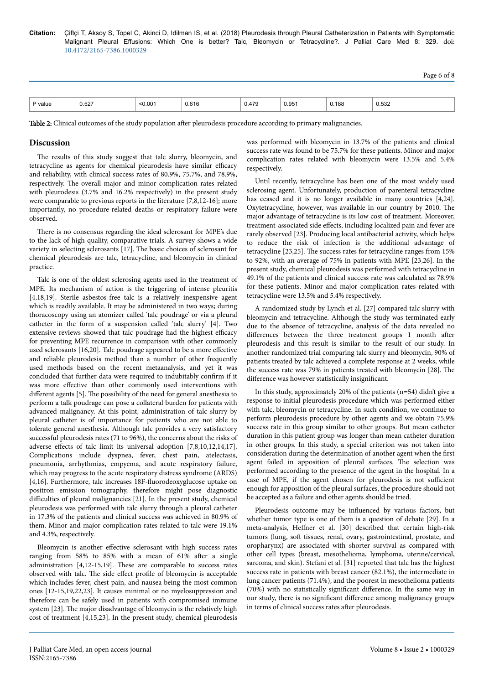Page 6 of 8

| ' value | 0.527 | < 0.001 | 0.616 | 0.479 | 0 <sub>5</sub><br>.טט | 0.188 | 0.532 |
|---------|-------|---------|-------|-------|-----------------------|-------|-------|

Table 2: Clinical outcomes of the study population after pleurodesis procedure according to primary malignancies.

# **Discussion**

The results of this study suggest that talc slurry, bleomycin, and tetracycline as agents for chemical pleurodesis have similar efficacy and reliability, with clinical success rates of 80.9%, 75.7%, and 78.9%, respectively. Нe overall major and minor complication rates related with pleurodesis (3.7% and 16.2% respectively) in the present study were comparable to previous reports in the literature [7,8,12-16]; more importantly, no procedure-related deaths or respiratory failure were observed.

There is no consensus regarding the ideal sclerosant for MPE's due to the lack of high quality, comparative trials. A survey shows a wide variety in selecting sclerosants [17]. Нe basic choices of sclerosant for chemical pleurodesis are talc, tetracycline, and bleomycin in clinical practice.

Talc is one of the oldest sclerosing agents used in the treatment of MPE. Its mechanism of action is the triggering of intense pleuritis [4,18,19]. Sterile asbestos-free talc is a relatively inexpensive agent which is readily available. It may be administered in two ways; during thoracoscopy using an atomizer called 'talc poudrage' or via a pleural catheter in the form of a suspension called 'talc slurry' [4]. Two extensive reviews showed that talc poudrage had the highest efficacy for preventing MPE recurrence in comparison with other commonly used sclerosants [16,20]. Talc poudrage appeared to be a more effective and reliable pleurodesis method than a number of other frequently used methods based on the recent metaanalysis, and yet it was concluded that further data were required to indubitably confirm if it was more effective than other commonly used interventions with different agents [5]. The possibility of the need for general anesthesia to perform a talk poudrage can pose a collateral burden for patients with advanced malignancy. At this point, administration of talc slurry by pleural catheter is of importance for patients who are not able to tolerate general anesthesia. Although talc provides a very satisfactory successful pleurodesis rates (71 to 96%), the concerns about the risks of adverse effects of talc limit its universal adoption  $[7,8,10,12,14,17]$ . Complications include dyspnea, fever, chest pain, atelectasis, pneumonia, arrhythmias, empyema, and acute respiratory failure, which may progress to the acute respiratory distress syndrome (ARDS) [4,16]. Furthermore, talc increases 18F-fluorodeoxyglucose uptake on positron emission tomography, therefore might pose diagnostic difficulties of pleural malignancies  $[21]$ . In the present study, chemical pleurodesis was performed with talc slurry through a pleural catheter in 17.3% of the patients and clinical success was achieved in 80.9% of them. Minor and major complication rates related to talc were 19.1% and 4.3%, respectively.

Bleomycin is another effective sclerosant with high success rates ranging from  $58\%$  to  $85\%$  with a mean of  $61\%$  after a single administration [4,12-15,19]. Нese are comparable to success rates observed with talc. The side effect profile of bleomycin is acceptable which includes fever, chest pain, and nausea being the most common ones [12-15,19,22,23]. It causes minimal or no myelosuppression and therefore can be safely used in patients with compromised immune system [23]. Нe major disadvantage of bleomycin is the relatively high cost of treatment [4,15,23]. In the present study, chemical pleurodesis was performed with bleomycin in 13.7% of the patients and clinical success rate was found to be 75.7% for these patients. Minor and major complication rates related with bleomycin were 13.5% and 5.4% respectively.

Until recently, tetracycline has been one of the most widely used sclerosing agent. Unfortunately, production of parenteral tetracycline has ceased and it is no longer available in many countries [4,24]. Oxytetracycline, however, was available in our country by 2010. Нe major advantage of tetracycline is its low cost of treatment. Moreover, treatment-associated side effects, including localized pain and fever are rarely observed [23]. Producing local antibacterial activity, which helps to reduce the risk of infection is the additional advantage of tetracycline [23,25]. Нe success rates for tetracycline ranges from 15% to 92%, with an average of 75% in patients with MPE [23,26]. In the present study, chemical pleurodesis was performed with tetracycline in 49.1% of the patients and clinical success rate was calculated as 78.9% for these patients. Minor and major complication rates related with tetracycline were 13.5% and 5.4% respectively.

A randomized study by Lynch et al. [27] compared talc slurry with bleomycin and tetracycline. Although the study was terminated early due to the absence of tetracycline, analysis of the data revealed no differences between the three treatment groups 1 month after pleurodesis and this result is similar to the result of our study. In another randomized trial comparing talc slurry and bleomycin, 90% of patients treated by talc achieved a complete response at 2 weeks, while the success rate was 79% in patients treated with bleomycin [28]. Нe difference was however statistically insignificant.

In this study, approximately 20% of the patients (n=54) didn't give a response to initial pleurodesis procedure which was performed either with talc, bleomycin or tetracycline. In such condition, we continue to perform pleurodesis procedure by other agents and we obtain 75.9% success rate in this group similar to other groups. But mean catheter duration in this patient group was longer than mean catheter duration in other groups. In this study, a special criterion was not taken into consideration during the determination of another agent when the first agent failed in apposition of pleural surfaces. Нe selection was performed according to the presence of the agent in the hospital. In a case of MPE, if the agent chosen for pleurodesis is not sufficient enough for apposition of the pleural surfaces, the procedure should not be accepted as a failure and other agents should be tried.

Pleurodesis outcome may be influenced by various factors, but whether tumor type is one of them is a question of debate [29]. In a meta-analysis, Heffner et al. [30] described that certain high-risk tumors (lung, soft tissues, renal, ovary, gastrointestinal, prostate, and oropharynx) are associated with shorter survival as compared with other cell types (breast, mesothelioma, lymphoma, uterine/cervical, sarcoma, and skin). Stefani et al. [31] reported that talc has the highest success rate in patients with breast cancer (82.1%), the intermediate in lung cancer patients (71.4%), and the poorest in mesothelioma patients (70%) with no statistically significant difference. In the same way in our study, there is no significant difference among malignancy groups in terms of clinical success rates after pleurodesis.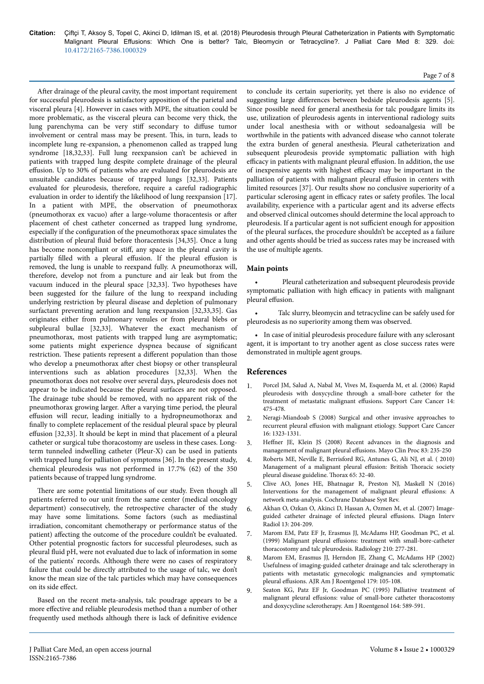After drainage of the pleural cavity, the most important requirement for successful pleurodesis is satisfactory apposition of the parietal and visceral pleura [4]. However in cases with MPE, the situation could be more problematic, as the visceral pleura can become very thick, the lung parenchyma can be very stiff secondary to diffuse tumor involvement or central mass may be present. This, in turn, leads to incomplete lung re-expansion, a phenomenon called as trapped lung syndrome [18,32,33]. Full lung reexpansion can't be achieved in patients with trapped lung despite complete drainage of the pleural effusion. Up to 30% of patients who are evaluated for pleurodesis are unsuitable candidates because of trapped lungs [32,33]. Patients evaluated for pleurodesis, therefore, require a careful radiographic evaluation in order to identify the likelihood of lung reexpansion [17]. In a patient with MPE, the observation of pneumothorax (pneumothorax ex vacuo) after a large-volume thoracentesis or after placement of chest catheter concerned as trapped lung syndrome, especially if the configuration of the pneumothorax space simulates the distribution of pleural fluid before thoracentesis [34,35]. Once a lung has become noncompliant or stiff, any space in the pleural cavity is partially filled with a pleural effusion. If the pleural effusion is removed, the lung is unable to reexpand fully. A pneumothorax will, therefore, develop not from a puncture and air leak but from the vacuum induced in the pleural space [32,33]. Two hypotheses have been suggested for the failure of the lung to reexpand including underlying restriction by pleural disease and depletion of pulmonary surfactant preventing aeration and lung reexpansion [32,33,35]. Gas originates either from pulmonary venules or from pleural blebs or subpleural bullae [32,33]. Whatever the exact mechanism of pneumothorax, most patients with trapped lung are asymptomatic; some patients might experience dyspnea because of significant restriction. These patients represent a different population than those who develop a pneumothorax after chest biopsy or other transpleural interventions such as ablation procedures [32,33]. When the pneumothorax does not resolve over several days, pleurodesis does not appear to be indicated because the pleural surfaces are not opposed. The drainage tube should be removed, with no apparent risk of the pneumothorax growing larger. After a varying time period, the pleural effusion will recur, leading initially to a hydropneumothorax and finally to complete replacement of the residual pleural space by pleural effusion [32,33]. It should be kept in mind that placement of a pleural catheter or surgical tube thoracostomy are useless in these cases. Longterm tunneled indwelling catheter (Pleur-X) can be used in patients with trapped lung for palliation of symptoms [36]. In the present study, chemical pleurodesis was not performed in 17.7% (62) of the 350 patients because of trapped lung syndrome.

There are some potential limitations of our study. Even though all patients referred to our unit from the same center (medical oncology department) consecutively, the retrospective character of the study may have some limitations. Some factors (such as mediastinal irradiation, concomitant chemotherapy or performance status of the patient) affecting the outcome of the procedure couldn't be evaluated. Other potential prognostic factors for successful pleurodeses, such as pleural fluid pH, were not evaluated due to lack of information in some of the patients' records. Although there were no cases of respiratory failure that could be directly attributed to the usage of talc, we don't know the mean size of the talc particles which may have consequences on its side effect.

Based on the recent meta-analysis, talc poudrage appears to be a more effective and reliable pleurodesis method than a number of other frequently used methods although there is lack of definitive evidence

# Page 7 of 8

to conclude its certain superiority, yet there is also no evidence of suggesting large differences between bedside pleurodesis agents [5]. Since possible need for general anesthesia for talc poudgare limits its use, utilization of pleurodesis agents in interventional radiology suits under local anesthesia with or without sedoanalgesia will be worthwhile in the patients with advanced disease who cannot tolerate the extra burden of general anesthesia. Pleural catheterization and subsequent pleurodesis provide symptomatic palliation with high efficacy in patients with malignant pleural effusion. In addition, the use of inexpensive agents with highest efficacy may be important in the palliation of patients with malignant pleural effusion in centers with limited resources [37]. Our results show no conclusive superiority of a particular sclerosing agent in efficacy rates or safety profiles. Нe local availability, experience with a particular agent and its adverse effects and observed clinical outcomes should determine the local approach to pleurodesis. If a particular agent is not sufficient enough for apposition of the pleural surfaces, the procedure shouldn't be accepted as a failure and other agents should be tried as success rates may be increased with the use of multiple agents.

# **Main points**

• Pleural catheterization and subsequent pleurodesis provide symptomatic palliation with high efficacy in patients with malignant pleural effusion.

Talc slurry, bleomycin and tetracycline can be safely used for pleurodesis as no superiority among them was observed.

• In case of initial pleurodesis procedure failure with any sclerosant agent, it is important to try another agent as close success rates were demonstrated in multiple agent groups.

# **References**

- 1. [Porcel JM, Salud A, Nabal M, Vives M, Esquerda M, et al. \(2006\) Rapid](https://doi.org/10.1007/s00520-005-0001-x) [pleurodesis with doxycycline through a small-bore catheter for the](https://doi.org/10.1007/s00520-005-0001-x) [treatment of metastatic malignant](https://doi.org/10.1007/s00520-005-0001-x) effusions. Support Care Cancer 14: [475-478](https://doi.org/10.1007/s00520-005-0001-x).
- 2. [Neragi-Miandoab S \(2008\) Surgical and other invasive approaches to](https://doi.org/10.1007/s00520-008-0405-5) recurrent pleural effusion [with malignant etiology. Support Care Cancer](https://doi.org/10.1007/s00520-008-0405-5) [16: 1323-1331.](https://doi.org/10.1007/s00520-008-0405-5)
- 3. Heffner [JE, Klein JS \(2008\) Recent advances in the diagnosis and](https://doi.org/10.1016/s0025-6196(11)60848-3) [management of malignant pleural](https://doi.org/10.1016/s0025-6196(11)60848-3) effusions. Mayo Clin Proc 83: 235-250
- 4. [Roberts ME, Neville E, Berrisford RG, Antunes G, Ali NJ, et al. \( 2010\)](https://doi.org/10.1136/thx.2010.136994) [Management of a malignant pleural](https://doi.org/10.1136/thx.2010.136994) effusion: British Thoracic society [pleural disease guideline.](https://doi.org/10.1136/thx.2010.136994) Thorax 65: 32-40.
- 5. [Clive AO, Jones HE, Bhatnagar R, Preston NJ, Maskell N \(2016\)](https://doi.org/10.1002/14651858.CD010529.pub2) [Interventions for the management of malignant pleural](https://doi.org/10.1002/14651858.CD010529.pub2) effusions: A [network meta-analysis. Cochrane Database Syst Rev.](https://doi.org/10.1002/14651858.CD010529.pub2)
- 6. [Akhan O, Ozkan O, Akinci D, Hassan A, Ozmen M, et al. \(2007\) Image](http://www.dirjournal.org/eng/makale/192/17/Full-Text)[guided catheter drainage of infected pleural](http://www.dirjournal.org/eng/makale/192/17/Full-Text) effusions. Diagn Interv [Radiol 13: 204-209.](http://www.dirjournal.org/eng/makale/192/17/Full-Text)
- 7. [Marom EM, Patz EF Jr, Erasmus JJ, McAdams HP, Goodman PC, et al.](https://doi.org/10.1148/radiology.210.1.r99dc04277) (1999) Malignant pleural effusions: [treatment with small-bore-catheter](https://doi.org/10.1148/radiology.210.1.r99dc04277) [thoracostomy and talc pleurodesis. Radiology 210: 277-281.](https://doi.org/10.1148/radiology.210.1.r99dc04277)
- 8. [Marom EM, Erasmus JJ, Herndon JE, Zhang C, McAdams HP \(2002\)](https://doi.org/10.2214/ajr.179.1.1790105) [Usefulness of imaging-guided catheter drainage and talc sclerotherapy in](https://doi.org/10.2214/ajr.179.1.1790105) [patients with metastatic gynecologic malignancies and symptomatic](https://doi.org/10.2214/ajr.179.1.1790105) pleural effusions. [AJR Am J Roentgenol 179: 105-108.](https://doi.org/10.2214/ajr.179.1.1790105)
- 9. [Seaton KG, Patz EF Jr, Goodman PC \(1995\) Palliative treatment of](https://doi.org/10.2214/ajr.164.3.7532350) malignant pleural effusions: [value of small-bore catheter thoracostomy](https://doi.org/10.2214/ajr.164.3.7532350) [and doxycycline sclerotherapy. Am J Roentgenol 164: 589-591.](https://doi.org/10.2214/ajr.164.3.7532350)